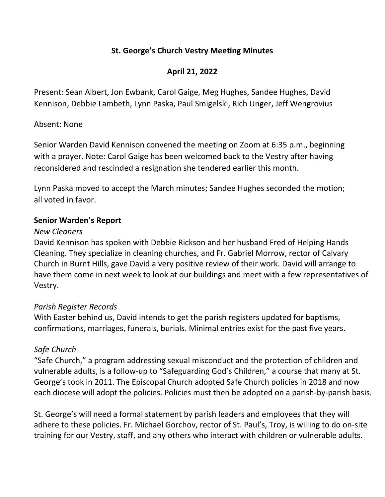## St. George's Church Vestry Meeting Minutes

# April 21, 2022

Present: Sean Albert, Jon Ewbank, Carol Gaige, Meg Hughes, Sandee Hughes, David Kennison, Debbie Lambeth, Lynn Paska, Paul Smigelski, Rich Unger, Jeff Wengrovius

#### Absent: None

Senior Warden David Kennison convened the meeting on Zoom at 6:35 p.m., beginning with a prayer. Note: Carol Gaige has been welcomed back to the Vestry after having reconsidered and rescinded a resignation she tendered earlier this month.

Lynn Paska moved to accept the March minutes; Sandee Hughes seconded the motion; all voted in favor.

### Senior Warden's Report

#### New Cleaners

David Kennison has spoken with Debbie Rickson and her husband Fred of Helping Hands Cleaning. They specialize in cleaning churches, and Fr. Gabriel Morrow, rector of Calvary Church in Burnt Hills, gave David a very positive review of their work. David will arrange to have them come in next week to look at our buildings and meet with a few representatives of Vestry.

## Parish Register Records

With Easter behind us, David intends to get the parish registers updated for baptisms, confirmations, marriages, funerals, burials. Minimal entries exist for the past five years.

## Safe Church

"Safe Church," a program addressing sexual misconduct and the protection of children and vulnerable adults, is a follow-up to "Safeguarding God's Children," a course that many at St. George's took in 2011. The Episcopal Church adopted Safe Church policies in 2018 and now each diocese will adopt the policies. Policies must then be adopted on a parish-by-parish basis.

St. George's will need a formal statement by parish leaders and employees that they will adhere to these policies. Fr. Michael Gorchov, rector of St. Paul's, Troy, is willing to do on-site training for our Vestry, staff, and any others who interact with children or vulnerable adults.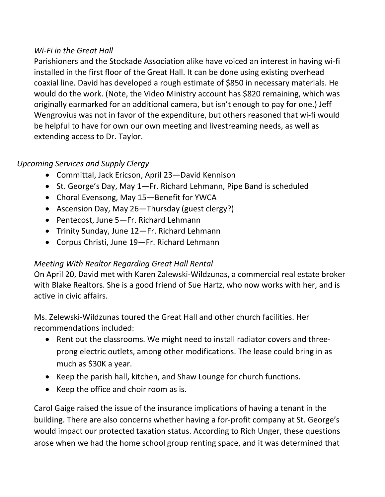### Wi-Fi in the Great Hall

Parishioners and the Stockade Association alike have voiced an interest in having wi-fi installed in the first floor of the Great Hall. It can be done using existing overhead coaxial line. David has developed a rough estimate of \$850 in necessary materials. He would do the work. (Note, the Video Ministry account has \$820 remaining, which was originally earmarked for an additional camera, but isn't enough to pay for one.) Jeff Wengrovius was not in favor of the expenditure, but others reasoned that wi-fi would be helpful to have for own our own meeting and livestreaming needs, as well as extending access to Dr. Taylor.

# Upcoming Services and Supply Clergy

- Committal, Jack Ericson, April 23—David Kennison
- St. George's Day, May 1–Fr. Richard Lehmann, Pipe Band is scheduled
- Choral Evensong, May 15-Benefit for YWCA
- Ascension Day, May 26—Thursday (guest clergy?)
- Pentecost, June 5—Fr. Richard Lehmann
- Trinity Sunday, June 12—Fr. Richard Lehmann
- Corpus Christi, June 19—Fr. Richard Lehmann

# Meeting With Realtor Regarding Great Hall Rental

On April 20, David met with Karen Zalewski-Wildzunas, a commercial real estate broker with Blake Realtors. She is a good friend of Sue Hartz, who now works with her, and is active in civic affairs.

Ms. Zelewski-Wildzunas toured the Great Hall and other church facilities. Her recommendations included:

- Rent out the classrooms. We might need to install radiator covers and threeprong electric outlets, among other modifications. The lease could bring in as much as \$30K a year.
- Keep the parish hall, kitchen, and Shaw Lounge for church functions.
- Keep the office and choir room as is.

Carol Gaige raised the issue of the insurance implications of having a tenant in the building. There are also concerns whether having a for-profit company at St. George's would impact our protected taxation status. According to Rich Unger, these questions arose when we had the home school group renting space, and it was determined that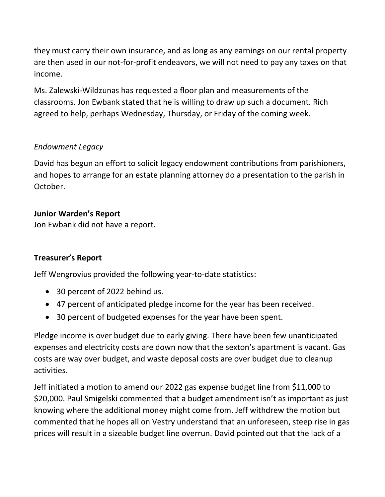they must carry their own insurance, and as long as any earnings on our rental property are then used in our not-for-profit endeavors, we will not need to pay any taxes on that income.

Ms. Zalewski-Wildzunas has requested a floor plan and measurements of the classrooms. Jon Ewbank stated that he is willing to draw up such a document. Rich agreed to help, perhaps Wednesday, Thursday, or Friday of the coming week.

### Endowment Legacy

David has begun an effort to solicit legacy endowment contributions from parishioners, and hopes to arrange for an estate planning attorney do a presentation to the parish in October.

#### Junior Warden's Report

Jon Ewbank did not have a report.

#### Treasurer's Report

Jeff Wengrovius provided the following year-to-date statistics:

- 30 percent of 2022 behind us.
- 47 percent of anticipated pledge income for the year has been received.
- 30 percent of budgeted expenses for the year have been spent.

Pledge income is over budget due to early giving. There have been few unanticipated expenses and electricity costs are down now that the sexton's apartment is vacant. Gas costs are way over budget, and waste deposal costs are over budget due to cleanup activities.

Jeff initiated a motion to amend our 2022 gas expense budget line from \$11,000 to \$20,000. Paul Smigelski commented that a budget amendment isn't as important as just knowing where the additional money might come from. Jeff withdrew the motion but commented that he hopes all on Vestry understand that an unforeseen, steep rise in gas prices will result in a sizeable budget line overrun. David pointed out that the lack of a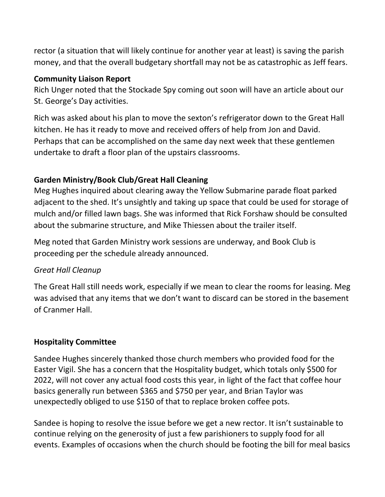rector (a situation that will likely continue for another year at least) is saving the parish money, and that the overall budgetary shortfall may not be as catastrophic as Jeff fears.

### Community Liaison Report

Rich Unger noted that the Stockade Spy coming out soon will have an article about our St. George's Day activities.

Rich was asked about his plan to move the sexton's refrigerator down to the Great Hall kitchen. He has it ready to move and received offers of help from Jon and David. Perhaps that can be accomplished on the same day next week that these gentlemen undertake to draft a floor plan of the upstairs classrooms.

## Garden Ministry/Book Club/Great Hall Cleaning

Meg Hughes inquired about clearing away the Yellow Submarine parade float parked adjacent to the shed. It's unsightly and taking up space that could be used for storage of mulch and/or filled lawn bags. She was informed that Rick Forshaw should be consulted about the submarine structure, and Mike Thiessen about the trailer itself.

Meg noted that Garden Ministry work sessions are underway, and Book Club is proceeding per the schedule already announced.

## Great Hall Cleanup

The Great Hall still needs work, especially if we mean to clear the rooms for leasing. Meg was advised that any items that we don't want to discard can be stored in the basement of Cranmer Hall.

## Hospitality Committee

Sandee Hughes sincerely thanked those church members who provided food for the Easter Vigil. She has a concern that the Hospitality budget, which totals only \$500 for 2022, will not cover any actual food costs this year, in light of the fact that coffee hour basics generally run between \$365 and \$750 per year, and Brian Taylor was unexpectedly obliged to use \$150 of that to replace broken coffee pots.

Sandee is hoping to resolve the issue before we get a new rector. It isn't sustainable to continue relying on the generosity of just a few parishioners to supply food for all events. Examples of occasions when the church should be footing the bill for meal basics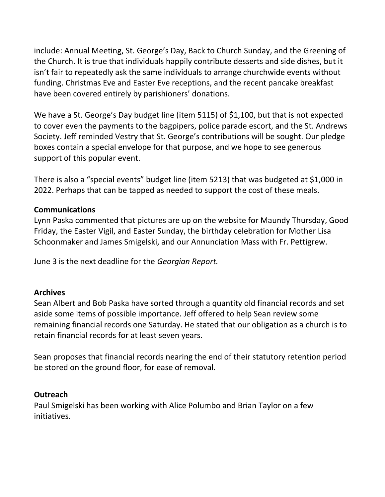include: Annual Meeting, St. George's Day, Back to Church Sunday, and the Greening of the Church. It is true that individuals happily contribute desserts and side dishes, but it isn't fair to repeatedly ask the same individuals to arrange churchwide events without funding. Christmas Eve and Easter Eve receptions, and the recent pancake breakfast have been covered entirely by parishioners' donations.

We have a St. George's Day budget line (item 5115) of \$1,100, but that is not expected to cover even the payments to the bagpipers, police parade escort, and the St. Andrews Society. Jeff reminded Vestry that St. George's contributions will be sought. Our pledge boxes contain a special envelope for that purpose, and we hope to see generous support of this popular event.

There is also a "special events" budget line (item 5213) that was budgeted at \$1,000 in 2022. Perhaps that can be tapped as needed to support the cost of these meals.

#### Communications

Lynn Paska commented that pictures are up on the website for Maundy Thursday, Good Friday, the Easter Vigil, and Easter Sunday, the birthday celebration for Mother Lisa Schoonmaker and James Smigelski, and our Annunciation Mass with Fr. Pettigrew.

June 3 is the next deadline for the Georgian Report.

#### **Archives**

Sean Albert and Bob Paska have sorted through a quantity old financial records and set aside some items of possible importance. Jeff offered to help Sean review some remaining financial records one Saturday. He stated that our obligation as a church is to retain financial records for at least seven years.

Sean proposes that financial records nearing the end of their statutory retention period be stored on the ground floor, for ease of removal.

#### **Outreach**

Paul Smigelski has been working with Alice Polumbo and Brian Taylor on a few initiatives.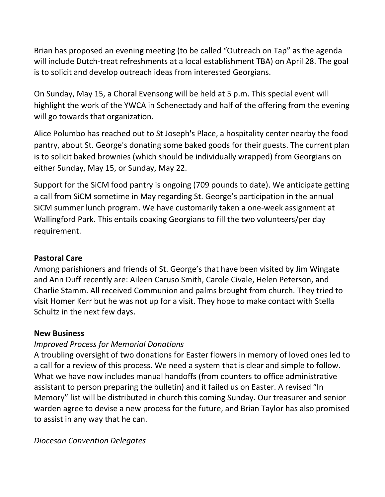Brian has proposed an evening meeting (to be called "Outreach on Tap" as the agenda will include Dutch-treat refreshments at a local establishment TBA) on April 28. The goal is to solicit and develop outreach ideas from interested Georgians.

On Sunday, May 15, a Choral Evensong will be held at 5 p.m. This special event will highlight the work of the YWCA in Schenectady and half of the offering from the evening will go towards that organization.

Alice Polumbo has reached out to St Joseph's Place, a hospitality center nearby the food pantry, about St. George's donating some baked goods for their guests. The current plan is to solicit baked brownies (which should be individually wrapped) from Georgians on either Sunday, May 15, or Sunday, May 22.

Support for the SiCM food pantry is ongoing (709 pounds to date). We anticipate getting a call from SiCM sometime in May regarding St. George's participation in the annual SiCM summer lunch program. We have customarily taken a one-week assignment at Wallingford Park. This entails coaxing Georgians to fill the two volunteers/per day requirement.

## Pastoral Care

Among parishioners and friends of St. George's that have been visited by Jim Wingate and Ann Duff recently are: Aileen Caruso Smith, Carole Civale, Helen Peterson, and Charlie Stamm. All received Communion and palms brought from church. They tried to visit Homer Kerr but he was not up for a visit. They hope to make contact with Stella Schultz in the next few days.

## New Business

# Improved Process for Memorial Donations

A troubling oversight of two donations for Easter flowers in memory of loved ones led to a call for a review of this process. We need a system that is clear and simple to follow. What we have now includes manual handoffs (from counters to office administrative assistant to person preparing the bulletin) and it failed us on Easter. A revised "In Memory" list will be distributed in church this coming Sunday. Our treasurer and senior warden agree to devise a new process for the future, and Brian Taylor has also promised to assist in any way that he can.

## Diocesan Convention Delegates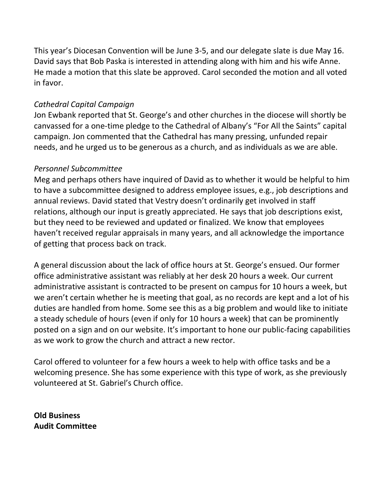This year's Diocesan Convention will be June 3-5, and our delegate slate is due May 16. David says that Bob Paska is interested in attending along with him and his wife Anne. He made a motion that this slate be approved. Carol seconded the motion and all voted in favor.

#### Cathedral Capital Campaign

Jon Ewbank reported that St. George's and other churches in the diocese will shortly be canvassed for a one-time pledge to the Cathedral of Albany's "For All the Saints" capital campaign. Jon commented that the Cathedral has many pressing, unfunded repair needs, and he urged us to be generous as a church, and as individuals as we are able.

### Personnel Subcommittee

Meg and perhaps others have inquired of David as to whether it would be helpful to him to have a subcommittee designed to address employee issues, e.g., job descriptions and annual reviews. David stated that Vestry doesn't ordinarily get involved in staff relations, although our input is greatly appreciated. He says that job descriptions exist, but they need to be reviewed and updated or finalized. We know that employees haven't received regular appraisals in many years, and all acknowledge the importance of getting that process back on track.

A general discussion about the lack of office hours at St. George's ensued. Our former office administrative assistant was reliably at her desk 20 hours a week. Our current administrative assistant is contracted to be present on campus for 10 hours a week, but we aren't certain whether he is meeting that goal, as no records are kept and a lot of his duties are handled from home. Some see this as a big problem and would like to initiate a steady schedule of hours (even if only for 10 hours a week) that can be prominently posted on a sign and on our website. It's important to hone our public-facing capabilities as we work to grow the church and attract a new rector.

Carol offered to volunteer for a few hours a week to help with office tasks and be a welcoming presence. She has some experience with this type of work, as she previously volunteered at St. Gabriel's Church office.

Old Business Audit Committee